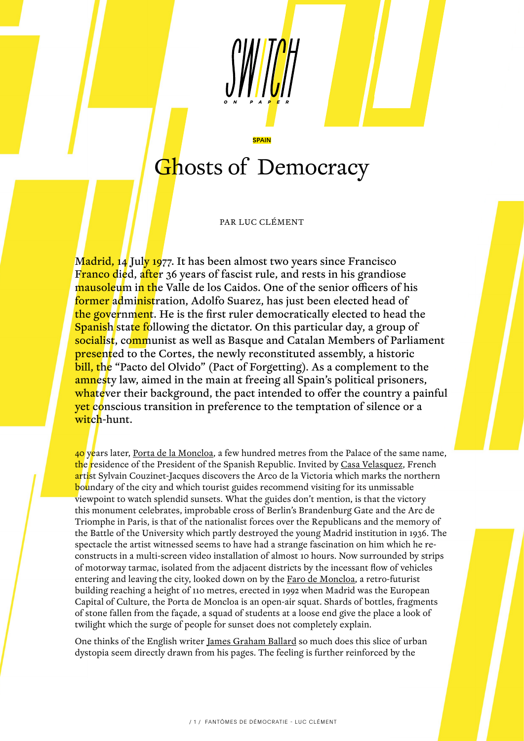## Ghosts of Democracy

SPAIN

PAR LUC CLÉMENT

Madrid, 14 July 1977. It has been almost two years since Francisco Franco died, after 36 years of fascist rule, and rests in his grandiose mausoleum in the Valle de los Caidos. One of the senior officers of his former administration, Adolfo Suarez, has just been elected head of the government. He is the first ruler democratically elected to head the Spanish state following the dictator. On this particular day, a group of socialist, communist as well as Basque and Catalan Members of Parliament **presented to the Cortes, the newly reconstituted assembly, a historic** bill, the "Pacto del Olvido" (Pact of Forgetting). As a complement to the amnesty law, aimed in the main at freeing all Spain's political prisoners, whatever their background, the pact intended to offer the country a painful yet conscious transition in preference to the temptation of silence or a witch-hunt.

40 years later, [Porta de la Moncloa](https://www.google.com/imgres?imgurl=http%3A%2F%2Fmonumentsdemadrid.com%2Fcontent%2Farc-de-la-victoire.jpg&imgrefurl=http%3A%2F%2Fmonumentsdemadrid.com%2Farc-de-la-victoire&docid=t_Z8Sur_ObkZ-M&tbnid=6IH-jkcPwxCTEM%3A&vet=10ahUKEwiq0Y-zu9LhAhVsBGMBHY88CH4QMwg0KAEwAQ..i&w=1022&h=679&client=firefox-b-d&bih=1267&biw=2429&q=Porte%20de%20Moncloa&ved=0ahUKEwiq0Y-zu9LhAhVsBGMBHY88CH4QMwg0KAEwAQ&iact=mrc&uact=8), a few hundred metres from the Palace of the same name, the residence of the President of the Spanish Republic. Invited by <u>Casa Velasquez</u>, French artist Sylvain Couzinet-Jacques discovers the Arco de la Victoria which marks the northern boundary of the city and which tourist guides recommend visiting for its unmissable viewpoint to watch splendid sunsets. What the guides don't mention, is that the victory this monument celebrates, improbable cross of Berlin's Brandenburg Gate and the Arc de Triomphe in Paris, is that of the nationalist forces over the Republicans and the memory of the Battle of the University which partly destroyed the young Madrid institution in 1936. The spectacle the artist witnessed seems to have had a strange fascination on him which he reconstructs in a multi-screen video installation of almost 10 hours. Now surrounded by strips of motorway tarmac, isolated from the adjacent districts by the incessant flow of vehicles entering and leaving the city, looked down on by the **Faro de Moncloa**, a retro-futurist building reaching a height of 110 metres, erected in 1992 when Madrid was the European Capital of Culture, the Porta de Moncloa is an open-air squat. Shards of bottles, fragments of stone fallen from the façade, a squad of students at a loose end give the place a look of twilight which the surge of people for sunset does not completely explain.

One thinks of the English writer [James Graham Ballard](http://www.ballardian.com/) so much does this slice of urban dystopia seem directly drawn from his pages. The feeling is further reinforced by the